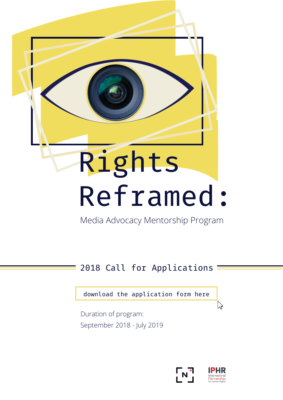# Rights Reframed:

Media Advocacy Mentorship Program

#### 2018 Call for Applications

[download the application form here](https://drive.google.com/uc?export=download&id=15E3sf6T-AZorc-Vwe6nMNc9i9n1tVdq5)

Duration of program: September 2018 - July 2019





い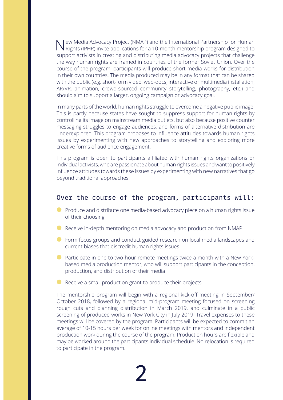New Media Advocacy Project (NMAP) and the International Partnership for Human Rights (IPHR) invite applications for a 10-month mentorship program designed to support activists in creating and distributing media advocacy projects that challenge the way human rights are framed in countries of the former Soviet Union. Over the course of the program, participants will produce short media works for distribution in their own countries. The media produced may be in any format that can be shared with the public (e.g. short-form video, web-docs, interactive or multimedia installation, AR/VR, animation, crowd-sourced community storytelling, photography, etc.) and should aim to support a larger, ongoing campaign or advocacy goal.

In many parts of the world, human rights struggle to overcome a negative public image. This is partly because states have sought to suppress support for human rights by controlling its image on mainstream media outlets, but also because positive counter messaging struggles to engage audiences, and forms of alternative distribution are underexplored. This program proposes to influence attitudes towards human rights issues by experimenting with new approaches to storytelling and exploring more creative forms of audience engagement.

This program is open to participants affiliated with human rights organizations or individual activists, who are passionate about human rights issues and want to positively influence attitudes towards these issues by experimenting with new narratives that go beyond traditional approaches.

#### Over the course of the program, participants will:

- **●** Produce and distribute one media-based advocacy piece on a human rights issue of their choosing
- **●** Receive in-depth mentoring on media advocacy and production from NMAP
- **●** Form focus groups and conduct guided research on local media landscapes and current biases that discredit human rights issues
- **●** Participate in one to two-hour remote meetings twice a month with a New Yorkbased media production mentor, who will support participants in the conception, production, and distribution of their media
- **●** Receive a small production grant to produce their projects

The mentorship program will begin with a regional kick-off meeting in September/ October 2018, followed by a regional mid-program meeting focused on screening rough cuts and planning distribution in March 2019, and culminate in a public screening of produced works in New York City in July 2019. Travel expenses to these meetings will be covered by the program. Participants will be expected to commit an average of 10-15 hours per week for online meetings with mentors and independent production work during the course of the program. Production hours are flexible and may be worked around the participants individual schedule. No relocation is required to participate in the program.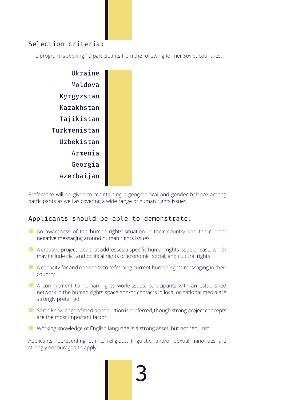#### Selection criteria:

The program is seeking 10 participants from the following former Soviet countries:



Preference will be given to maintaining a geographical and gender balance among participants as well as covering a wide range of human rights issues.

#### Applicants should be able to demonstrate:

- **●** An awareness of the human rights situation in their country and the current negative messaging around human rights issues
- **●** A creative project idea that addresses a specific human rights issue or case, which may include civil and political rights or economic, social, and cultural rights
- **●** A capacity for and openness to reframing current human rights messaging in their country
- **●** A commitment to human rights work/issues; participants with an established network in the human rights space and/or contacts in local or national media are strongly preferred
- **●** Some knowledge of media production is preferred, though strong project concepts are the most important factor
- **●** Working knowledge of English language is a strong asset, but not required

Applicants representing ethnic, religious, linguistic, and/or sexual minorities are strongly encouraged to apply.

3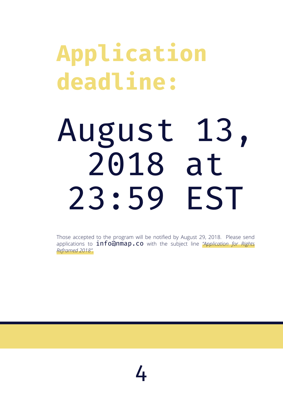### **Application deadline:**

## August 13, 2018 at<br>3.59 EST  $23:59$

Those accepted to the program will be notified by August 29, 2018. Please send applications to **info@nmap.co** with the subject line *"Application for Rights [Reframed 2018".](https://drive.google.com/uc?export=download&id=15E3sf6T-AZorc-Vwe6nMNc9i9n1tVdq5)*